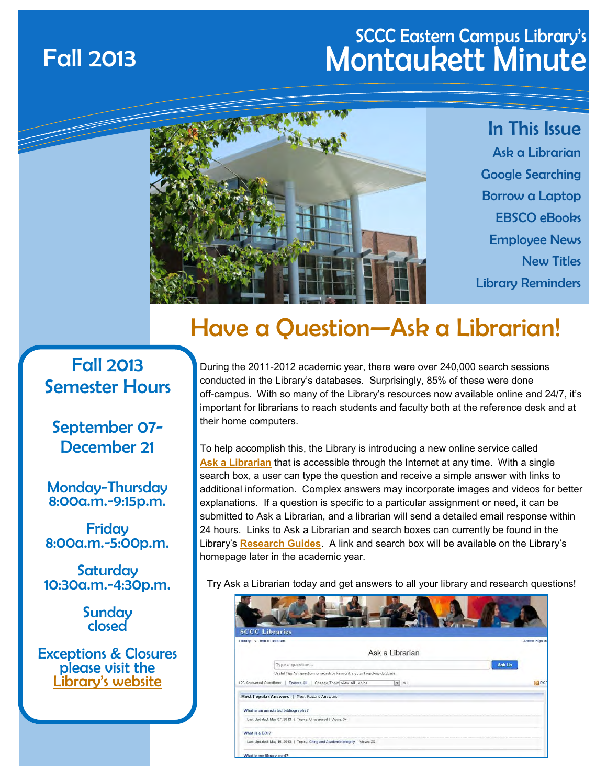### SCCC Eastern Campus Library's Fall 2013 Montaukett Minute



In This Issue Ask a Librarian Google Searching Borrow a Laptop EBSCO eBooks Employee News New Titles Library Reminders

### Have a Question—Ask a Librarian!

#### Fall 2013 Semester Hours

September 07- December 21

Monday-Thursday 8:00a.m.-9:15p.m.

Friday 8:00a.m.-5:00p.m.

**Saturday** 10:30a.m.-4:30p.m.

> **Sunday** closed

Exceptions & Closures please visit the [L](http://www.sunysuffolk.edu/Libraries/eastern_hours.asp)[ibrary's website](http://www.sunysuffolk.edu/Libraries/eastern_hours.asp)

During the 2011-2012 academic year, there were over 240,000 search sessions conducted in the Library's databases. Surprisingly, 85% of these were done off-campus. With so many of the Library's resources now available online and 24/7, it's important for librarians to reach students and faculty both at the reference desk and at their home computers.

To help accomplish this, the Library is introducing a new online service called **[Ask a Librarian](http://sunysuffolk.libanswers.com/)** that is accessible through the Internet at any time. With a single search box, a user can type the question and receive a simple answer with links to additional information. Complex answers may incorporate images and videos for better explanations. If a question is specific to a particular assignment or need, it can be submitted to Ask a Librarian, and a librarian will send a detailed email response within 24 hours. Links to Ask a Librarian and search boxes can currently be found in the Library's **[Research Guides](http://libguides.sunysuffolk.edu/)**. A link and search box will be available on the Library's homepage later in the academic year.

Try Ask a Librarian today and get answers to all your library and research questions!

| <b>SCCC Libraries</b>                                                              |               |
|------------------------------------------------------------------------------------|---------------|
| Library » Ask a Librarian                                                          | Admin Sign In |
| Ask a Librarian                                                                    |               |
| Type a question                                                                    | Ask Us        |
| Useful Tip: Ask questions or search by keyword, e.g., anthropology database        |               |
| 123 Answered Questions   Browse All   Change Topic View All Topics<br>$\bullet$ Go | <b>N</b> RSS  |
| Most Popular Answers   Most Recent Answers                                         |               |
| What is an annotated bibliography?                                                 |               |
| Last Updated: May 07, 2013.   Topics: Unassigned   Views: 34                       |               |
| What is a DOI?                                                                     |               |
|                                                                                    |               |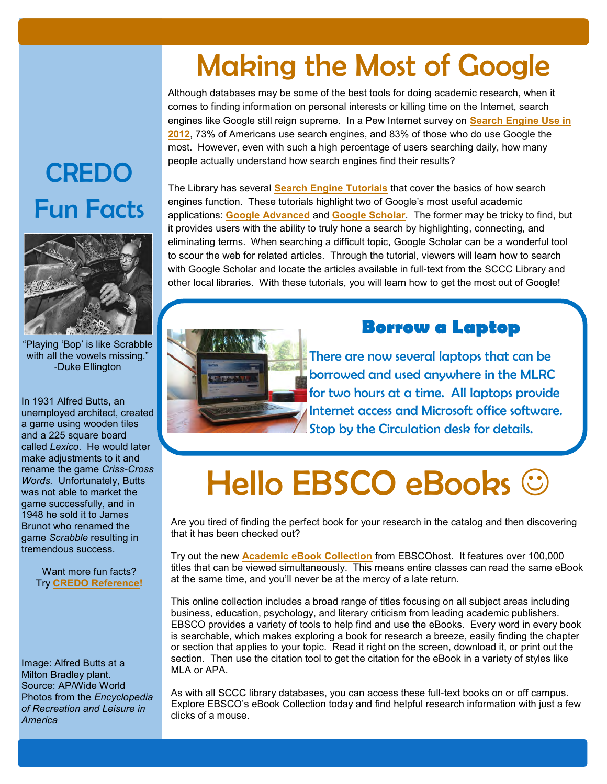## Making the Most of Google

Although databases may be some of the best tools for doing academic research, when it comes to finding information on personal interests or killing time on the Internet, search engines like Google still reign supreme. In a Pew Internet survey on **[Search Engine Use in](http://www.pewinternet.org/Reports/2012/Search-Engine-Use-2012/Summary-of-findings.aspx)  [2012](http://www.pewinternet.org/Reports/2012/Search-Engine-Use-2012/Summary-of-findings.aspx)**, 73% of Americans use search engines, and 83% of those who do use Google the most. However, even with such a high percentage of users searching daily, how many people actually understand how search engines find their results?

## CREDO Fun Facts



"Playing 'Bop' is like Scrabble with all the vowels missing." -Duke Ellington

In 1931 Alfred Butts, an unemployed architect, created a game using wooden tiles and a 225 square board called *Lexico*. He would later make adjustments to it and rename the game *Criss-Cross Words.* Unfortunately, Butts was not able to market the game successfully, and in 1948 he sold it to James Brunot who renamed the game *Scrabble* resulting in tremendous success.

> Want more fun facts? Try **[CREDO Reference!](http://lib1.lib.sunysuffolk.edu/login?url=http://www.credoreference.com/home.do)**

Image: Alfred Butts at a Milton Bradley plant. Source: AP/Wide World Photos from the *Encyclopedia of Recreation and Leisure in America*

The Library has several **[Search Engine Tutorials](http://libguides.sunysuffolk.edu/searchengines)** that cover the basics of how search engines function. These tutorials highlight two of Google's most useful academic applications: **[Google Advanced](http://www.google.ca/advanced_search)** and **[Google Scholar](http://scholar.google.com)**. The former may be tricky to find, but it provides users with the ability to truly hone a search by highlighting, connecting, and eliminating terms. When searching a difficult topic, Google Scholar can be a wonderful tool to scour the web for related articles. Through the tutorial, viewers will learn how to search with Google Scholar and locate the articles available in full-text from the SCCC Library and other local libraries. With these tutorials, you will learn how to get the most out of Google!



There are now several laptops that can be borrowed and used anywhere in the MLRC for two hours at a time. All laptops provide Internet access and Microsoft office software. Stop by the Circulation desk for details.

**Borrow a Laptop** 

# Hello EBSCO eBooks  $\odot$

Are you tired of finding the perfect book for your research in the catalog and then discovering that it has been checked out?

Try out the new **[Academic eBook Collection](http://lib1.lib.sunysuffolk.edu/login?url=http://search.ebscohost.com/login.aspx?authtype=ip,uid&profile=ehost&defaultdb=nlebk)** from EBSCOhost. It features over 100,000 titles that can be viewed simultaneously. This means entire classes can read the same eBook at the same time, and you'll never be at the mercy of a late return.

This online collection includes a broad range of titles focusing on all subject areas including business, education, psychology, and literary criticism from leading academic publishers. EBSCO provides a variety of tools to help find and use the eBooks. Every word in every book is searchable, which makes exploring a book for research a breeze, easily finding the chapter or section that applies to your topic. Read it right on the screen, download it, or print out the section. Then use the citation tool to get the citation for the eBook in a variety of styles like MLA or APA.

As with all SCCC library databases, you can access these full-text books on or off campus. Explore EBSCO's eBook Collection today and find helpful research information with just a few clicks of a mouse.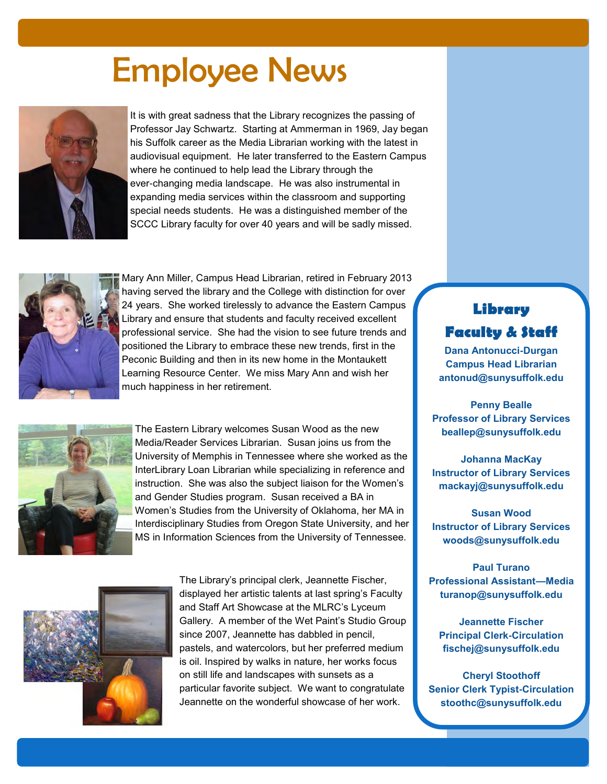## Employee News



It is with great sadness that the Library recognizes the passing of Professor Jay Schwartz. Starting at Ammerman in 1969, Jay began his Suffolk career as the Media Librarian working with the latest in audiovisual equipment. He later transferred to the Eastern Campus where he continued to help lead the Library through the ever-changing media landscape. He was also instrumental in expanding media services within the classroom and supporting special needs students. He was a distinguished member of the SCCC Library faculty for over 40 years and will be sadly missed.



Mary Ann Miller, Campus Head Librarian, retired in February 2013 having served the library and the College with distinction for over 24 years. She worked tirelessly to advance the Eastern Campus Library and ensure that students and faculty received excellent professional service. She had the vision to see future trends and positioned the Library to embrace these new trends, first in the Peconic Building and then in its new home in the Montaukett Learning Resource Center. We miss Mary Ann and wish her much happiness in her retirement.



The Eastern Library welcomes Susan Wood as the new Media/Reader Services Librarian. Susan joins us from the University of Memphis in Tennessee where she worked as the InterLibrary Loan Librarian while specializing in reference and instruction. She was also the subject liaison for the Women's and Gender Studies program. Susan received a BA in Women's Studies from the University of Oklahoma, her MA in Interdisciplinary Studies from Oregon State University, and her MS in Information Sciences from the University of Tennessee.



The Library's principal clerk, Jeannette Fischer, displayed her artistic talents at last spring's Faculty and Staff Art Showcase at the MLRC's Lyceum Gallery. A member of the Wet Paint's Studio Group since 2007, Jeannette has dabbled in pencil, pastels, and watercolors, but her preferred medium is oil. Inspired by walks in nature, her works focus on still life and landscapes with sunsets as a particular favorite subject. We want to congratulate Jeannette on the wonderful showcase of her work.

#### **Library Faculty & Staff**

**Dana Antonucci-Durgan Campus Head Librarian antonud@sunysuffolk.edu**

**Penny Bealle Professor of Library Services beallep@sunysuffolk.edu**

**Johanna MacKay Instructor of Library Services mackayj@sunysuffolk.edu**

**Susan Wood Instructor of Library Services woods@sunysuffolk.edu**

**Paul Turano Professional Assistant—Media turanop@sunysuffolk.edu**

**Jeannette Fischer Principal Clerk-Circulation fischej@sunysuffolk.edu**

**Cheryl Stoothoff Senior Clerk Typist-Circulation stoothc@sunysuffolk.edu**